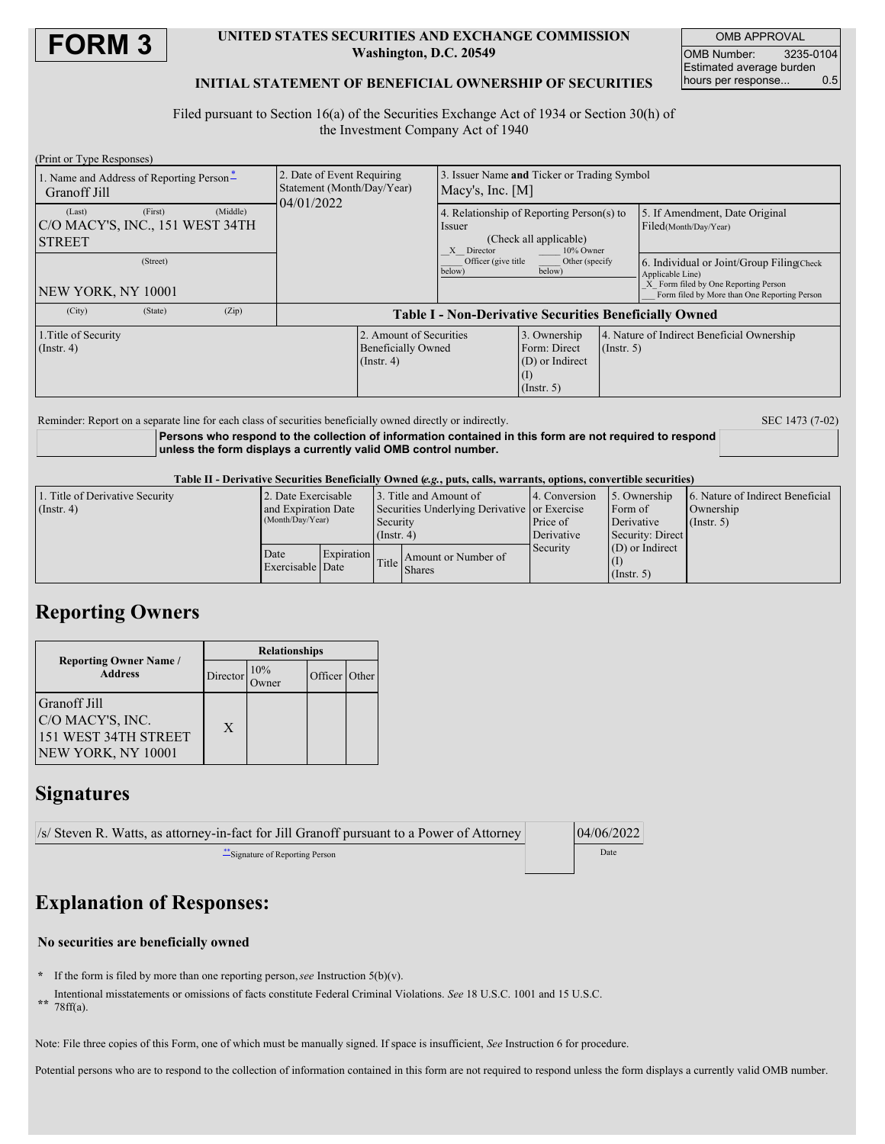

#### **UNITED STATES SECURITIES AND EXCHANGE COMMISSION Washington, D.C. 20549**

OMB APPROVAL OMB Number: 3235-0104 Estimated average burden hours per response... 0.5

### **INITIAL STATEMENT OF BENEFICIAL OWNERSHIP OF SECURITIES**

Filed pursuant to Section 16(a) of the Securities Exchange Act of 1934 or Section 30(h) of the Investment Company Act of 1940

| (Print or Type Responses)                                              |                                                                        |                                                               |                                                                          |                                                                                                          |                                                                  |             |                                                                                                                                                       |  |
|------------------------------------------------------------------------|------------------------------------------------------------------------|---------------------------------------------------------------|--------------------------------------------------------------------------|----------------------------------------------------------------------------------------------------------|------------------------------------------------------------------|-------------|-------------------------------------------------------------------------------------------------------------------------------------------------------|--|
| 1. Name and Address of Reporting Person-<br>Granoff Jill               | 2. Date of Event Requiring<br>Statement (Month/Day/Year)<br>04/01/2022 |                                                               | Issuer Name and Ticker or Trading Symbol<br>Macy's, Inc. $[M]$           |                                                                                                          |                                                                  |             |                                                                                                                                                       |  |
| (First)<br>(Last)<br> C/O MACY'S, INC., 151 WEST 34TH<br><b>STREET</b> | (Middle)                                                               |                                                               |                                                                          | 4. Relationship of Reporting Person(s) to<br>Issuer<br>(Check all applicable)<br>X Director<br>10% Owner |                                                                  |             | 5. If Amendment, Date Original<br>Filed(Month/Day/Year)                                                                                               |  |
| (Street)<br>NEW YORK, NY 10001                                         |                                                                        |                                                               |                                                                          | Officer (give title<br>below)                                                                            | Other (specify<br>below)                                         |             | 6. Individual or Joint/Group Filing Check<br>Applicable Line)<br>X Form filed by One Reporting Person<br>Form filed by More than One Reporting Person |  |
| (City)<br>(State)                                                      | (Zip)                                                                  | <b>Table I - Non-Derivative Securities Beneficially Owned</b> |                                                                          |                                                                                                          |                                                                  |             |                                                                                                                                                       |  |
| 1. Title of Security<br>(Insert, 4)                                    |                                                                        |                                                               | 2. Amount of Securities<br><b>Beneficially Owned</b><br>$($ Instr. 4 $)$ |                                                                                                          | 3. Ownership<br>Form: Direct<br>(D) or Indirect<br>$($ Instr. 5) | (Insert, 5) | 4. Nature of Indirect Beneficial Ownership                                                                                                            |  |

Reminder: Report on a separate line for each class of securities beneficially owned directly or indirectly. SEC 1473 (7-02)

**Persons who respond to the collection of information contained in this form are not required to respond unless the form displays a currently valid OMB control number.**

Table II - Derivative Securities Beneficially Owned (e.g., puts, calls, warrants, options, convertible securities)

| 1. Title of Derivative Security | 2. Date Exercisable |            |                                              | 3. Title and Amount of | 14. Conversion | 15. Ownership     | 6. Nature of Indirect Beneficial |
|---------------------------------|---------------------|------------|----------------------------------------------|------------------------|----------------|-------------------|----------------------------------|
| (Insert 4)                      | and Expiration Date |            | Securities Underlying Derivative or Exercise |                        |                | Form of           | Ownership                        |
|                                 | (Month/Day/Year)    |            | Security                                     |                        | Price of       | Derivative        | $($ Instr. 5 $)$                 |
|                                 |                     |            | $($ Instr. 4)                                |                        | Derivative     | Security: Direct  |                                  |
|                                 | Date                | Expiration |                                              |                        | Security       | $(D)$ or Indirect |                                  |
|                                 | Exercisable Date    |            | Title I                                      | Amount or Number of    |                |                   |                                  |
|                                 |                     |            |                                              | <b>Shares</b>          |                | $($ Instr. 5)     |                                  |

## **Reporting Owners**

| <b>Reporting Owner Name</b> /                                                  | <b>Relationships</b> |     |               |  |  |  |
|--------------------------------------------------------------------------------|----------------------|-----|---------------|--|--|--|
| <b>Address</b>                                                                 | Director             | 10% | Officer Other |  |  |  |
| Granoff Jill<br>C/O MACY'S, INC.<br>151 WEST 34TH STREET<br>NEW YORK, NY 10001 | $\mathbf{X}$         |     |               |  |  |  |

### **Signatures**

| $\sqrt{s}$ Steven R. Watts, as attorney-in-fact for Jill Granoff pursuant to a Power of Attorney | 04/06/2022 |
|--------------------------------------------------------------------------------------------------|------------|
| Signature of Reporting Person                                                                    | Date       |
|                                                                                                  |            |

# **Explanation of Responses:**

### **No securities are beneficially owned**

- **\*** If the form is filed by more than one reporting person,*see* Instruction 5(b)(v).
- **\*\*** Intentional misstatements or omissions of facts constitute Federal Criminal Violations. *See* 18 U.S.C. 1001 and 15 U.S.C. 78ff(a).
- 

Note: File three copies of this Form, one of which must be manually signed. If space is insufficient, *See* Instruction 6 for procedure.

Potential persons who are to respond to the collection of information contained in this form are not required to respond unless the form displays a currently valid OMB number.